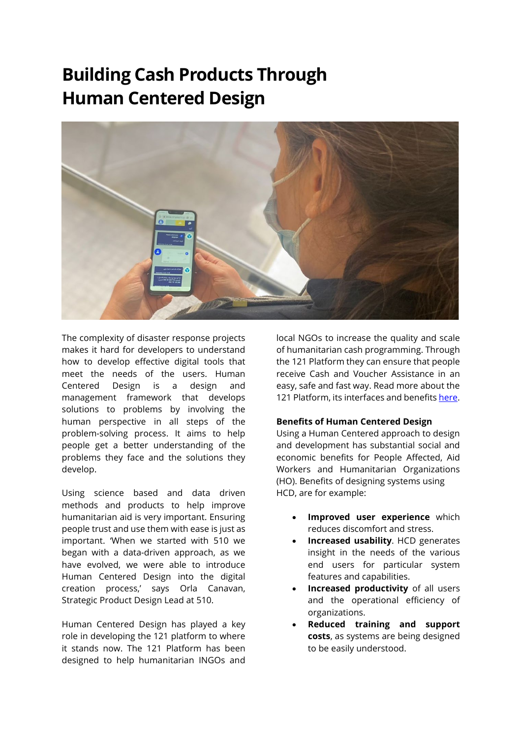# **Building Cash Products Through Human Centered Design**



The complexity of disaster response projects makes it hard for developers to understand how to develop effective digital tools that meet the needs of the users. Human Centered Design is a design and management framework that develops solutions to problems by involving the human perspective in all steps of the problem-solving process. It aims to help people get a better understanding of the problems they face and the solutions they develop.

Using science based and data driven methods and products to help improve humanitarian aid is very important. Ensuring people trust and use them with ease is just as important. 'When we started with 510 we began with a data-driven approach, as we have evolved, we were able to introduce Human Centered Design into the digital creation process,' says Orla Canavan, Strategic Product Design Lead at 510.

Human Centered Design has played a key role in developing the 121 platform to where it stands now. The 121 Platform has been designed to help humanitarian INGOs and

local NGOs to increase the quality and scale of humanitarian cash programming. Through the 121 Platform they can ensure that people receive Cash and Voucher Assistance in an easy, safe and fast way. Read more about the 121 Platform, its interfaces and benefit[s here.](https://www.121.global/)

#### **Benefits of Human Centered Design**

Using a Human Centered approach to design and development has substantial social and economic benefits for People Affected, Aid Workers and Humanitarian Organizations (HO). Benefits of designing systems using HCD, are for example:

- **Improved user experience** which reduces discomfort and stress.
- **Increased usability**. HCD generates insight in the needs of the various end users for particular system features and capabilities.
- **Increased productivity** of all users and the operational efficiency of organizations.
- **Reduced training and support costs**, as systems are being designed to be easily understood.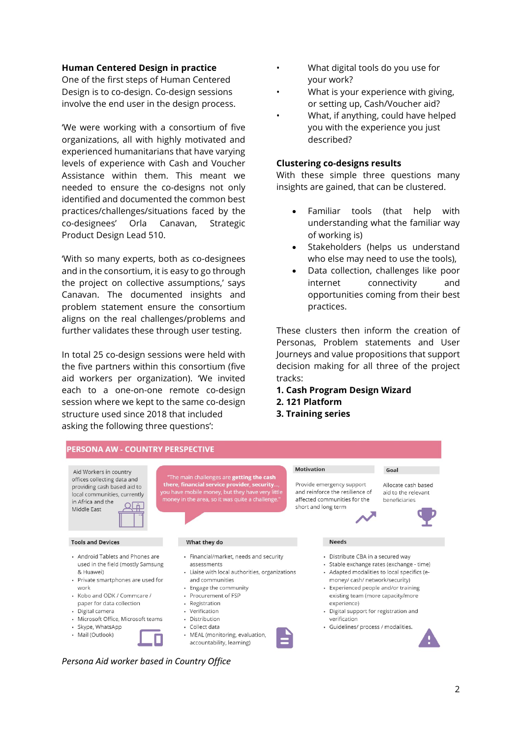#### **Human Centered Design in practice**

One of the first steps of Human Centered Design is to co-design. Co-design sessions involve the end user in the design process.

'We were working with a consortium of five organizations, all with highly motivated and experienced humanitarians that have varying levels of experience with Cash and Voucher Assistance within them. This meant we needed to ensure the co-designs not only identified and documented the common best practices/challenges/situations faced by the co-designees' Orla Canavan, Strategic Product Design Lead 510.

'With so many experts, both as co-designees and in the consortium, it is easy to go through the project on collective assumptions,' says Canavan. The documented insights and problem statement ensure the consortium aligns on the real challenges/problems and further validates these through user testing.

In total 25 co-design sessions were held with the five partners within this consortium (five aid workers per organization). 'We invited each to a one-on-one remote co-design session where we kept to the same co-design structure used since 2018 that included asking the following three questions':

- What digital tools do you use for your work?
- What is your experience with giving, or setting up, Cash/Voucher aid?
- What, if anything, could have helped you with the experience you just described?

#### **Clustering co-designs results**

With these simple three questions many insights are gained, that can be clustered.

- Familiar tools (that help with understanding what the familiar way of working is)
- Stakeholders (helps us understand who else may need to use the tools),
- Data collection, challenges like poor internet connectivity and opportunities coming from their best practices.

These clusters then inform the creation of Personas, Problem statements and User Journeys and value propositions that support decision making for all three of the project tracks:

- **1. Cash Program Design Wizard**
- **2. 121 Platform**
- **3. Training series**



#### *Persona Aid worker based in Country Office*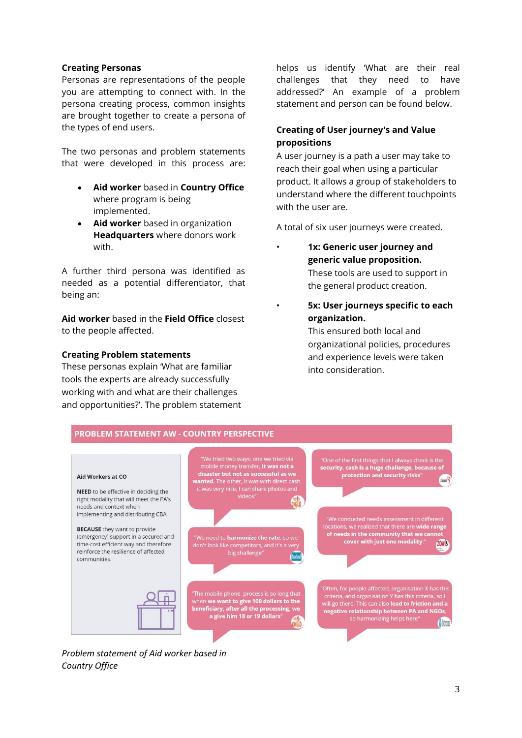### **Creating Personas**

Personas are representations of the people you are attempting to connect with. In the persona creating process, common insights are brought together to create a persona of the types of end users.

The two personas and problem statements that were developed in this process are:

- **Aid worker** based in **Country Office** where program is being implemented.
- **Aid worker** based in organization **Headquarters** where donors work with.

A further third persona was identified as needed as a potential differentiator, that being an:

**Aid worker** based in the **Field Office** closest to the people affected.

### **Creating Problem statements**

These personas explain 'What are familiar tools the experts are already successfully working with and what are their challenges and opportunities?'. The problem statement helps us identify 'What are their real challenges that they need to have addressed?' An example of a problem statement and person can be found below.

## **Creating of User journey's and Value propositions**

A user journey is a path a user may take to reach their goal when using a particular product. It allows a group of stakeholders to understand where the different touchpoints with the user are.

A total of six user journeys were created.

- **1x: Generic user journey and generic value proposition.** These tools are used to support in the general product creation.
- **5x: User journeys specific to each organization.**

This ensured both local and organizational policies, procedures and experience levels were taken into consideration.



*Problem statement of Aid worker based in Country Office*